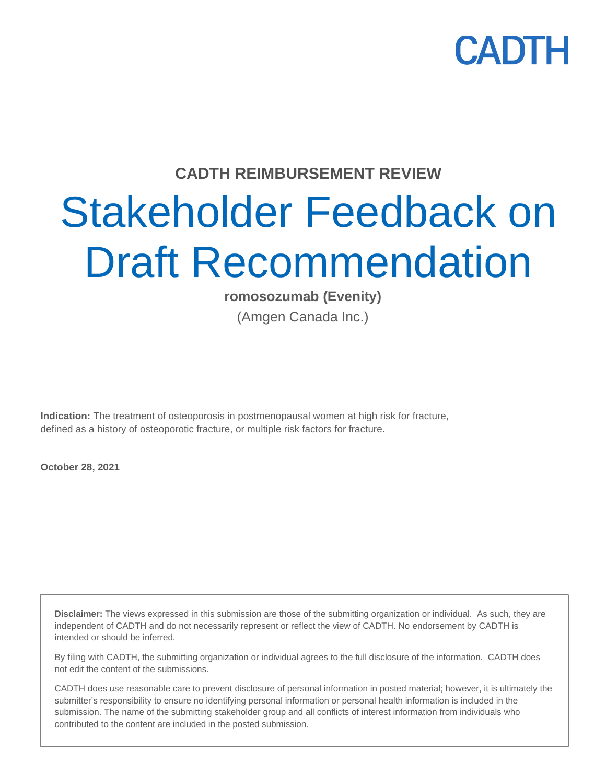

#### **CADTH REIMBURSEMENT REVIEW**

# Stakeholder Feedback on Draft Recommendation

**romosozumab (Evenity)**

(Amgen Canada Inc.)

**Indication:** The treatment of osteoporosis in postmenopausal women at high risk for fracture, defined as a history of osteoporotic fracture, or multiple risk factors for fracture.

**October 28, 2021**

**Disclaimer:** The views expressed in this submission are those of the submitting organization or individual. As such, they are independent of CADTH and do not necessarily represent or reflect the view of CADTH. No endorsement by CADTH is intended or should be inferred.

By filing with CADTH, the submitting organization or individual agrees to the full disclosure of the information. CADTH does not edit the content of the submissions.

CADTH does use reasonable care to prevent disclosure of personal information in posted material; however, it is ultimately the submitter's responsibility to ensure no identifying personal information or personal health information is included in the submission. The name of the submitting stakeholder group and all conflicts of interest information from individuals who contributed to the content are included in the posted submission.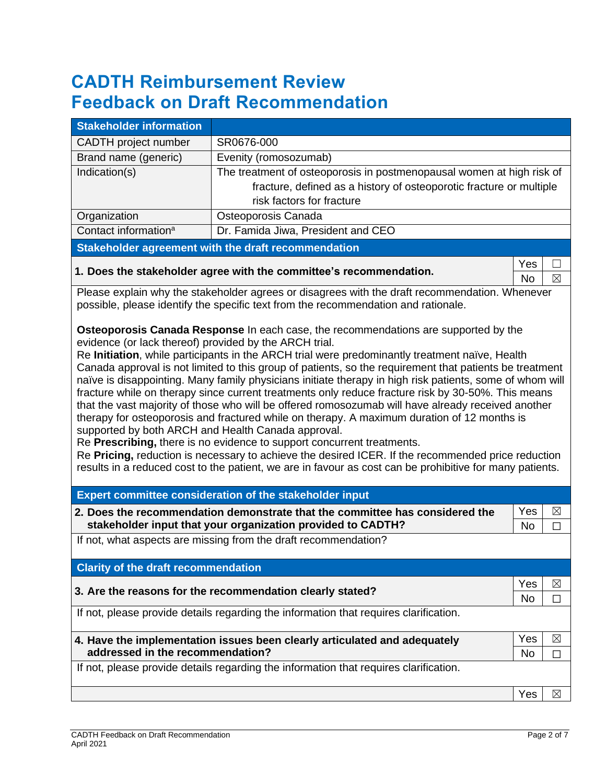# **CADTH Reimbursement Review Feedback on Draft Recommendation**

| <b>Stakeholder information</b>                                                                                                                                                                                                                                                                                                                                                                                                                                                                                                                                                                                                                                                                                                                                                                                                                                                                                                                                                                                                                                                                                                             |                                                                                                                                                                           |                  |             |  |
|--------------------------------------------------------------------------------------------------------------------------------------------------------------------------------------------------------------------------------------------------------------------------------------------------------------------------------------------------------------------------------------------------------------------------------------------------------------------------------------------------------------------------------------------------------------------------------------------------------------------------------------------------------------------------------------------------------------------------------------------------------------------------------------------------------------------------------------------------------------------------------------------------------------------------------------------------------------------------------------------------------------------------------------------------------------------------------------------------------------------------------------------|---------------------------------------------------------------------------------------------------------------------------------------------------------------------------|------------------|-------------|--|
| CADTH project number                                                                                                                                                                                                                                                                                                                                                                                                                                                                                                                                                                                                                                                                                                                                                                                                                                                                                                                                                                                                                                                                                                                       | SR0676-000                                                                                                                                                                |                  |             |  |
| Brand name (generic)                                                                                                                                                                                                                                                                                                                                                                                                                                                                                                                                                                                                                                                                                                                                                                                                                                                                                                                                                                                                                                                                                                                       | Evenity (romosozumab)                                                                                                                                                     |                  |             |  |
| Indication(s)                                                                                                                                                                                                                                                                                                                                                                                                                                                                                                                                                                                                                                                                                                                                                                                                                                                                                                                                                                                                                                                                                                                              | The treatment of osteoporosis in postmenopausal women at high risk of<br>fracture, defined as a history of osteoporotic fracture or multiple<br>risk factors for fracture |                  |             |  |
| Organization                                                                                                                                                                                                                                                                                                                                                                                                                                                                                                                                                                                                                                                                                                                                                                                                                                                                                                                                                                                                                                                                                                                               | Osteoporosis Canada                                                                                                                                                       |                  |             |  |
| Contact information <sup>a</sup>                                                                                                                                                                                                                                                                                                                                                                                                                                                                                                                                                                                                                                                                                                                                                                                                                                                                                                                                                                                                                                                                                                           | Dr. Famida Jiwa, President and CEO                                                                                                                                        |                  |             |  |
|                                                                                                                                                                                                                                                                                                                                                                                                                                                                                                                                                                                                                                                                                                                                                                                                                                                                                                                                                                                                                                                                                                                                            | <b>Stakeholder agreement with the draft recommendation</b>                                                                                                                |                  |             |  |
|                                                                                                                                                                                                                                                                                                                                                                                                                                                                                                                                                                                                                                                                                                                                                                                                                                                                                                                                                                                                                                                                                                                                            | 1. Does the stakeholder agree with the committee's recommendation.                                                                                                        | Yes<br><b>No</b> | $\boxtimes$ |  |
| Please explain why the stakeholder agrees or disagrees with the draft recommendation. Whenever<br>possible, please identify the specific text from the recommendation and rationale.                                                                                                                                                                                                                                                                                                                                                                                                                                                                                                                                                                                                                                                                                                                                                                                                                                                                                                                                                       |                                                                                                                                                                           |                  |             |  |
| <b>Osteoporosis Canada Response In each case, the recommendations are supported by the</b><br>evidence (or lack thereof) provided by the ARCH trial.<br>Re Initiation, while participants in the ARCH trial were predominantly treatment naïve, Health<br>Canada approval is not limited to this group of patients, so the requirement that patients be treatment<br>naïve is disappointing. Many family physicians initiate therapy in high risk patients, some of whom will<br>fracture while on therapy since current treatments only reduce fracture risk by 30-50%. This means<br>that the vast majority of those who will be offered romosozumab will have already received another<br>therapy for osteoporosis and fractured while on therapy. A maximum duration of 12 months is<br>supported by both ARCH and Health Canada approval.<br>Re Prescribing, there is no evidence to support concurrent treatments.<br>Re Pricing, reduction is necessary to achieve the desired ICER. If the recommended price reduction<br>results in a reduced cost to the patient, we are in favour as cost can be prohibitive for many patients. |                                                                                                                                                                           |                  |             |  |
|                                                                                                                                                                                                                                                                                                                                                                                                                                                                                                                                                                                                                                                                                                                                                                                                                                                                                                                                                                                                                                                                                                                                            | Expert committee consideration of the stakeholder input                                                                                                                   |                  |             |  |
|                                                                                                                                                                                                                                                                                                                                                                                                                                                                                                                                                                                                                                                                                                                                                                                                                                                                                                                                                                                                                                                                                                                                            | 2. Does the recommendation demonstrate that the committee has considered the<br>stakeholder input that your organization provided to CADTH?                               | Yes<br>No        | ⊠<br>П      |  |
|                                                                                                                                                                                                                                                                                                                                                                                                                                                                                                                                                                                                                                                                                                                                                                                                                                                                                                                                                                                                                                                                                                                                            | If not, what aspects are missing from the draft recommendation?                                                                                                           |                  |             |  |
| <b>Clarity of the draft recommendation</b>                                                                                                                                                                                                                                                                                                                                                                                                                                                                                                                                                                                                                                                                                                                                                                                                                                                                                                                                                                                                                                                                                                 |                                                                                                                                                                           |                  |             |  |
| 3. Are the reasons for the recommendation clearly stated?                                                                                                                                                                                                                                                                                                                                                                                                                                                                                                                                                                                                                                                                                                                                                                                                                                                                                                                                                                                                                                                                                  |                                                                                                                                                                           | Yes<br>No        | ⊠<br>□      |  |
|                                                                                                                                                                                                                                                                                                                                                                                                                                                                                                                                                                                                                                                                                                                                                                                                                                                                                                                                                                                                                                                                                                                                            | If not, please provide details regarding the information that requires clarification.                                                                                     |                  |             |  |
| addressed in the recommendation?                                                                                                                                                                                                                                                                                                                                                                                                                                                                                                                                                                                                                                                                                                                                                                                                                                                                                                                                                                                                                                                                                                           | 4. Have the implementation issues been clearly articulated and adequately                                                                                                 | Yes<br><b>No</b> | ⊠<br>□      |  |
| If not, please provide details regarding the information that requires clarification.                                                                                                                                                                                                                                                                                                                                                                                                                                                                                                                                                                                                                                                                                                                                                                                                                                                                                                                                                                                                                                                      |                                                                                                                                                                           |                  |             |  |
|                                                                                                                                                                                                                                                                                                                                                                                                                                                                                                                                                                                                                                                                                                                                                                                                                                                                                                                                                                                                                                                                                                                                            |                                                                                                                                                                           | Yes              | ⊠           |  |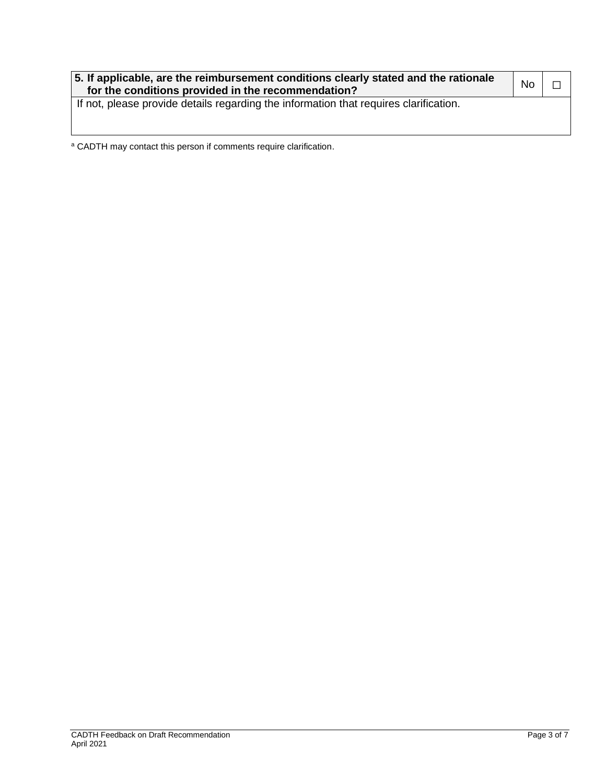| 5. If applicable, are the reimbursement conditions clearly stated and the rationale<br>for the conditions provided in the recommendation? | <b>No</b> |  |
|-------------------------------------------------------------------------------------------------------------------------------------------|-----------|--|
| If not, please provide details regarding the information that requires clarification.                                                     |           |  |

<sup>a</sup> CADTH may contact this person if comments require clarification.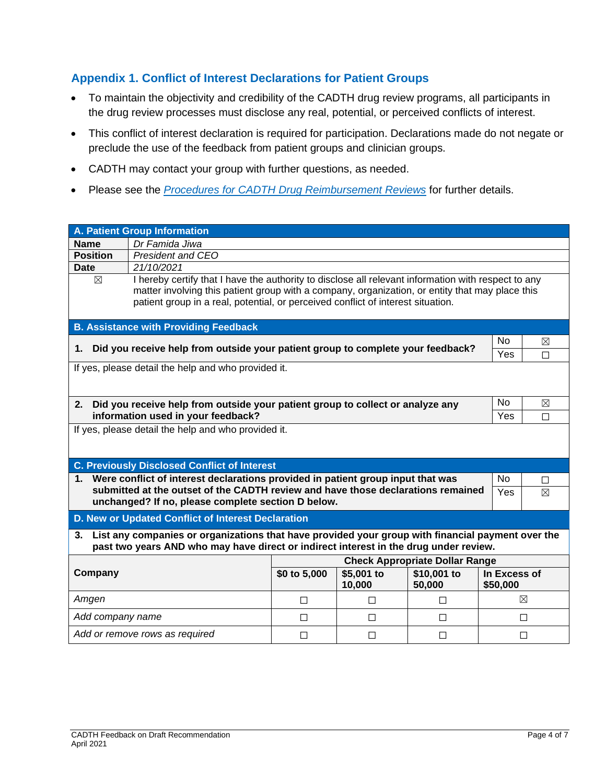#### **Appendix 1. Conflict of Interest Declarations for Patient Groups**

- To maintain the objectivity and credibility of the CADTH drug review programs, all participants in the drug review processes must disclose any real, potential, or perceived conflicts of interest.
- This conflict of interest declaration is required for participation. Declarations made do not negate or preclude the use of the feedback from patient groups and clinician groups.
- CADTH may contact your group with further questions, as needed.
- Please see the *[Procedures for CADTH Drug Reimbursement Reviews](https://cadth.ca/sites/default/files/Drug_Review_Process/CADTH_Drug_Reimbursement_Review_Procedures.pdf)* for further details.

| <b>A. Patient Group Information</b>                                                                                                                                                              |             |             |              |  |
|--------------------------------------------------------------------------------------------------------------------------------------------------------------------------------------------------|-------------|-------------|--------------|--|
| Dr Famida Jiwa<br><b>Name</b>                                                                                                                                                                    |             |             |              |  |
| <b>Position</b><br>President and CEO                                                                                                                                                             |             |             |              |  |
| 21/10/2021<br>Date                                                                                                                                                                               |             |             |              |  |
| I hereby certify that I have the authority to disclose all relevant information with respect to any<br>$\boxtimes$                                                                               |             |             |              |  |
| matter involving this patient group with a company, organization, or entity that may place this                                                                                                  |             |             |              |  |
| patient group in a real, potential, or perceived conflict of interest situation.                                                                                                                 |             |             |              |  |
| <b>B. Assistance with Providing Feedback</b>                                                                                                                                                     |             |             |              |  |
|                                                                                                                                                                                                  |             | <b>No</b>   | ⊠            |  |
| Did you receive help from outside your patient group to complete your feedback?<br>1.                                                                                                            |             |             | П            |  |
| If yes, please detail the help and who provided it.                                                                                                                                              |             |             |              |  |
|                                                                                                                                                                                                  |             |             |              |  |
|                                                                                                                                                                                                  |             |             |              |  |
| Did you receive help from outside your patient group to collect or analyze any<br>2.                                                                                                             | <b>No</b>   | $\boxtimes$ |              |  |
| information used in your feedback?                                                                                                                                                               | Yes         | П           |              |  |
| If yes, please detail the help and who provided it.                                                                                                                                              |             |             |              |  |
|                                                                                                                                                                                                  |             |             |              |  |
| <b>C. Previously Disclosed Conflict of Interest</b>                                                                                                                                              |             |             |              |  |
| 1. Were conflict of interest declarations provided in patient group input that was                                                                                                               |             | <b>No</b>   |              |  |
| submitted at the outset of the CADTH review and have those declarations remained                                                                                                                 |             | Yes         | П<br>⊠       |  |
| unchanged? If no, please complete section D below.                                                                                                                                               |             |             |              |  |
| D. New or Updated Conflict of Interest Declaration                                                                                                                                               |             |             |              |  |
|                                                                                                                                                                                                  |             |             |              |  |
| List any companies or organizations that have provided your group with financial payment over the<br>3.<br>past two years AND who may have direct or indirect interest in the drug under review. |             |             |              |  |
| <b>Check Appropriate Dollar Range</b>                                                                                                                                                            |             |             |              |  |
| Company<br>\$0 to 5,000<br>\$5,001 to                                                                                                                                                            | \$10,001 to |             | In Excess of |  |
| 10,000<br>50,000                                                                                                                                                                                 |             | \$50,000    |              |  |
| Amgen<br>$\Box$<br>$\Box$<br>П                                                                                                                                                                   |             |             | ⊠            |  |
| Add company name<br>$\Box$<br>$\Box$<br>П                                                                                                                                                        |             | П           |              |  |
| Add or remove rows as required<br>П<br>$\Box$<br>П<br>П                                                                                                                                          |             |             |              |  |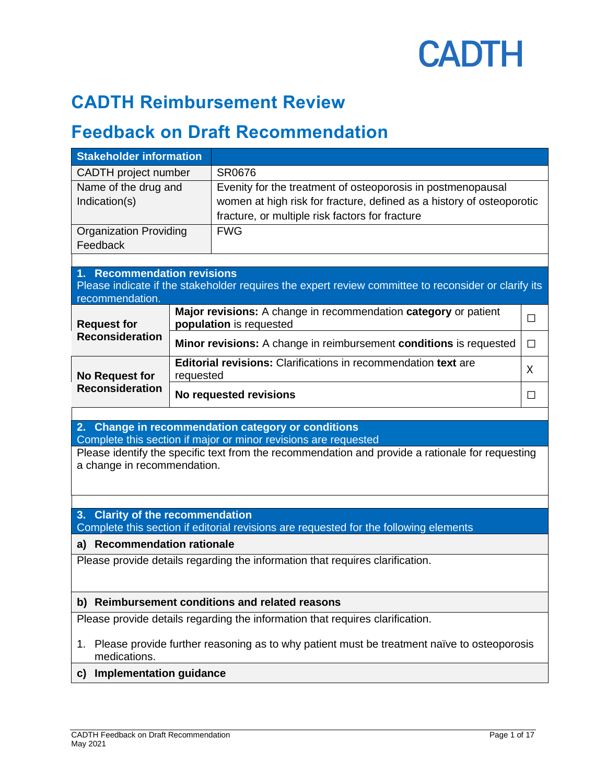

### **CADTH Reimbursement Review**

### **Feedback on Draft Recommendation**

| <b>Stakeholder information</b>                                                                                                                                      |           |                                                                                                      |        |  |
|---------------------------------------------------------------------------------------------------------------------------------------------------------------------|-----------|------------------------------------------------------------------------------------------------------|--------|--|
| <b>CADTH</b> project number                                                                                                                                         |           | SR0676                                                                                               |        |  |
| Name of the drug and                                                                                                                                                |           | Evenity for the treatment of osteoporosis in postmenopausal                                          |        |  |
| Indication(s)                                                                                                                                                       |           | women at high risk for fracture, defined as a history of osteoporotic                                |        |  |
|                                                                                                                                                                     |           | fracture, or multiple risk factors for fracture                                                      |        |  |
| <b>Organization Providing</b>                                                                                                                                       |           | <b>FWG</b>                                                                                           |        |  |
| Feedback                                                                                                                                                            |           |                                                                                                      |        |  |
| 1. Recommendation revisions                                                                                                                                         |           |                                                                                                      |        |  |
| recommendation.                                                                                                                                                     |           | Please indicate if the stakeholder requires the expert review committee to reconsider or clarify its |        |  |
| <b>Request for</b>                                                                                                                                                  |           | Major revisions: A change in recommendation category or patient<br>population is requested           | П      |  |
| <b>Reconsideration</b>                                                                                                                                              |           | <b>Minor revisions:</b> A change in reimbursement conditions is requested                            | $\Box$ |  |
| <b>No Request for</b>                                                                                                                                               | requested | <b>Editorial revisions:</b> Clarifications in recommendation text are                                | X      |  |
| <b>Reconsideration</b>                                                                                                                                              |           | No requested revisions                                                                               | П      |  |
|                                                                                                                                                                     |           |                                                                                                      |        |  |
|                                                                                                                                                                     |           | 2. Change in recommendation category or conditions                                                   |        |  |
| Complete this section if major or minor revisions are requested<br>Please identify the specific text from the recommendation and provide a rationale for requesting |           |                                                                                                      |        |  |
| a change in recommendation.                                                                                                                                         |           |                                                                                                      |        |  |
|                                                                                                                                                                     |           |                                                                                                      |        |  |
|                                                                                                                                                                     |           |                                                                                                      |        |  |
| 3. Clarity of the recommendation                                                                                                                                    |           |                                                                                                      |        |  |
|                                                                                                                                                                     |           | Complete this section if editorial revisions are requested for the following elements                |        |  |
| a) Recommendation rationale                                                                                                                                         |           |                                                                                                      |        |  |
|                                                                                                                                                                     |           | Please provide details regarding the information that requires clarification.                        |        |  |
|                                                                                                                                                                     |           |                                                                                                      |        |  |
| b) Reimbursement conditions and related reasons                                                                                                                     |           |                                                                                                      |        |  |
|                                                                                                                                                                     |           |                                                                                                      |        |  |
|                                                                                                                                                                     |           | Please provide details regarding the information that requires clarification.                        |        |  |
| 1.<br>medications.                                                                                                                                                  |           | Please provide further reasoning as to why patient must be treatment naïve to osteoporosis           |        |  |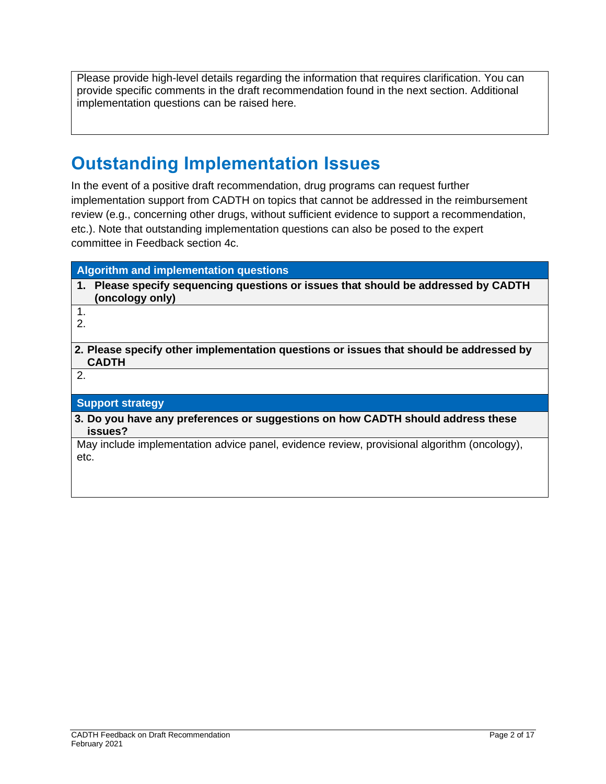Please provide high-level details regarding the information that requires clarification. You can provide specific comments in the draft recommendation found in the next section. Additional implementation questions can be raised here.

## **Outstanding Implementation Issues**

In the event of a positive draft recommendation, drug programs can request further implementation support from CADTH on topics that cannot be addressed in the reimbursement review (e.g., concerning other drugs, without sufficient evidence to support a recommendation, etc.). Note that outstanding implementation questions can also be posed to the expert committee in Feedback section 4c.

| <b>Algorithm and implementation questions</b>                                                          |
|--------------------------------------------------------------------------------------------------------|
| 1. Please specify sequencing questions or issues that should be addressed by CADTH<br>(oncology only)  |
| 1.                                                                                                     |
| 2.                                                                                                     |
| 2. Please specify other implementation questions or issues that should be addressed by<br><b>CADTH</b> |
| 2.                                                                                                     |
| <b>Support strategy</b>                                                                                |
| 3. Do you have any preferences or suggestions on how CADTH should address these<br>issues?             |
| May include implementation advice panel, evidence review, provisional algorithm (oncology),<br>etc.    |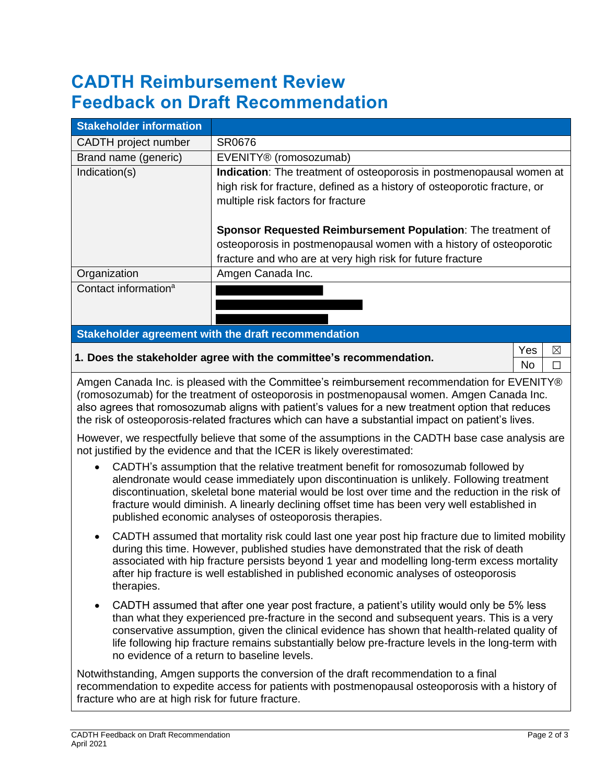# **CADTH Reimbursement Review Feedback on Draft Recommendation**

| <b>Stakeholder information</b>                                                                                                                                                                                                                                                                                                                                                                                                                                                                                                                                                                                                                                                                                                                                                                                                                                                                                                                                                           |                                                                                           |  |  |
|------------------------------------------------------------------------------------------------------------------------------------------------------------------------------------------------------------------------------------------------------------------------------------------------------------------------------------------------------------------------------------------------------------------------------------------------------------------------------------------------------------------------------------------------------------------------------------------------------------------------------------------------------------------------------------------------------------------------------------------------------------------------------------------------------------------------------------------------------------------------------------------------------------------------------------------------------------------------------------------|-------------------------------------------------------------------------------------------|--|--|
| CADTH project number                                                                                                                                                                                                                                                                                                                                                                                                                                                                                                                                                                                                                                                                                                                                                                                                                                                                                                                                                                     | SR0676                                                                                    |  |  |
| Brand name (generic)                                                                                                                                                                                                                                                                                                                                                                                                                                                                                                                                                                                                                                                                                                                                                                                                                                                                                                                                                                     | EVENITY® (romosozumab)                                                                    |  |  |
| Indication(s)                                                                                                                                                                                                                                                                                                                                                                                                                                                                                                                                                                                                                                                                                                                                                                                                                                                                                                                                                                            | Indication: The treatment of osteoporosis in postmenopausal women at                      |  |  |
|                                                                                                                                                                                                                                                                                                                                                                                                                                                                                                                                                                                                                                                                                                                                                                                                                                                                                                                                                                                          | high risk for fracture, defined as a history of osteoporotic fracture, or                 |  |  |
|                                                                                                                                                                                                                                                                                                                                                                                                                                                                                                                                                                                                                                                                                                                                                                                                                                                                                                                                                                                          | multiple risk factors for fracture                                                        |  |  |
|                                                                                                                                                                                                                                                                                                                                                                                                                                                                                                                                                                                                                                                                                                                                                                                                                                                                                                                                                                                          |                                                                                           |  |  |
|                                                                                                                                                                                                                                                                                                                                                                                                                                                                                                                                                                                                                                                                                                                                                                                                                                                                                                                                                                                          | Sponsor Requested Reimbursement Population: The treatment of                              |  |  |
|                                                                                                                                                                                                                                                                                                                                                                                                                                                                                                                                                                                                                                                                                                                                                                                                                                                                                                                                                                                          | osteoporosis in postmenopausal women with a history of osteoporotic                       |  |  |
|                                                                                                                                                                                                                                                                                                                                                                                                                                                                                                                                                                                                                                                                                                                                                                                                                                                                                                                                                                                          | fracture and who are at very high risk for future fracture                                |  |  |
| Organization                                                                                                                                                                                                                                                                                                                                                                                                                                                                                                                                                                                                                                                                                                                                                                                                                                                                                                                                                                             | Amgen Canada Inc.                                                                         |  |  |
| Contact information <sup>a</sup>                                                                                                                                                                                                                                                                                                                                                                                                                                                                                                                                                                                                                                                                                                                                                                                                                                                                                                                                                         |                                                                                           |  |  |
|                                                                                                                                                                                                                                                                                                                                                                                                                                                                                                                                                                                                                                                                                                                                                                                                                                                                                                                                                                                          |                                                                                           |  |  |
|                                                                                                                                                                                                                                                                                                                                                                                                                                                                                                                                                                                                                                                                                                                                                                                                                                                                                                                                                                                          |                                                                                           |  |  |
|                                                                                                                                                                                                                                                                                                                                                                                                                                                                                                                                                                                                                                                                                                                                                                                                                                                                                                                                                                                          | Stakeholder agreement with the draft recommendation                                       |  |  |
|                                                                                                                                                                                                                                                                                                                                                                                                                                                                                                                                                                                                                                                                                                                                                                                                                                                                                                                                                                                          | Yes<br>⊠<br>1. Does the stakeholder agree with the committee's recommendation.<br>No<br>П |  |  |
| Amgen Canada Inc. is pleased with the Committee's reimbursement recommendation for EVENITY®<br>(romosozumab) for the treatment of osteoporosis in postmenopausal women. Amgen Canada Inc.<br>also agrees that romosozumab aligns with patient's values for a new treatment option that reduces<br>the risk of osteoporosis-related fractures which can have a substantial impact on patient's lives.<br>However, we respectfully believe that some of the assumptions in the CADTH base case analysis are<br>not justified by the evidence and that the ICER is likely overestimated:<br>CADTH's assumption that the relative treatment benefit for romosozumab followed by<br>$\bullet$<br>alendronate would cease immediately upon discontinuation is unlikely. Following treatment<br>discontinuation, skeletal bone material would be lost over time and the reduction in the risk of<br>fracture would diminish. A linearly declining offset time has been very well established in |                                                                                           |  |  |
| published economic analyses of osteoporosis therapies.<br>CADTH assumed that mortality risk could last one year post hip fracture due to limited mobility<br>during this time. However, published studies have demonstrated that the risk of death<br>associated with hip fracture persists beyond 1 year and modelling long-term excess mortality<br>after hip fracture is well established in published economic analyses of osteoporosis<br>therapies.                                                                                                                                                                                                                                                                                                                                                                                                                                                                                                                                |                                                                                           |  |  |
| CADTH assumed that after one year post fracture, a patient's utility would only be 5% less<br>$\bullet$<br>than what they experienced pre-fracture in the second and subsequent years. This is a very<br>conservative assumption, given the clinical evidence has shown that health-related quality of<br>life following hip fracture remains substantially below pre-fracture levels in the long-term with<br>no evidence of a return to baseline levels.                                                                                                                                                                                                                                                                                                                                                                                                                                                                                                                               |                                                                                           |  |  |
| Notwithstanding, Amgen supports the conversion of the draft recommendation to a final<br>recommendation to expedite access for patients with postmenopausal osteoporosis with a history of<br>fracture who are at high risk for future fracture.                                                                                                                                                                                                                                                                                                                                                                                                                                                                                                                                                                                                                                                                                                                                         |                                                                                           |  |  |